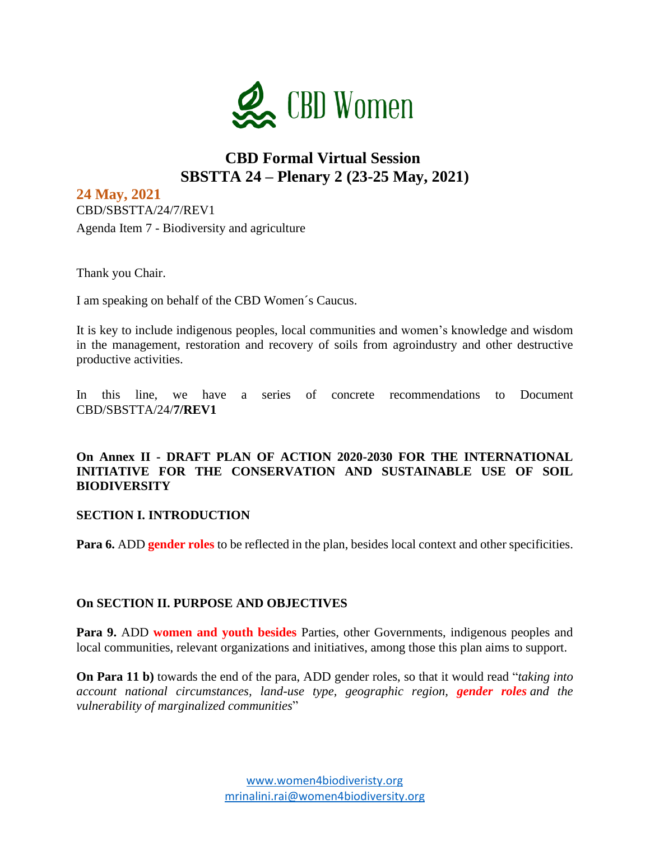

## **CBD Formal Virtual Session SBSTTA 24 – Plenary 2 (23-25 May, 2021)**

**24 May, 2021**  CBD/SBSTTA/24/7/REV1 Agenda Item 7 - Biodiversity and agriculture

Thank you Chair.

I am speaking on behalf of the CBD Women´s Caucus.

It is key to include indigenous peoples, local communities and women's knowledge and wisdom in the management, restoration and recovery of soils from agroindustry and other destructive productive activities.

In this line, we have a series of concrete recommendations to Document CBD/SBSTTA/24/**7/REV1**

#### **On Annex II - DRAFT PLAN OF ACTION 2020-2030 FOR THE INTERNATIONAL INITIATIVE FOR THE CONSERVATION AND SUSTAINABLE USE OF SOIL BIODIVERSITY**

#### **SECTION I. INTRODUCTION**

**Para 6.** ADD **gender roles** to be reflected in the plan, besides local context and other specificities.

#### **On SECTION II. PURPOSE AND OBJECTIVES**

**Para 9.** ADD **women and youth besides** Parties, other Governments, indigenous peoples and local communities, relevant organizations and initiatives, among those this plan aims to support.

**On Para 11 b)** towards the end of the para, ADD gender roles, so that it would read "*taking into account national circumstances, land-use type, geographic region, gender roles and the vulnerability of marginalized communities*"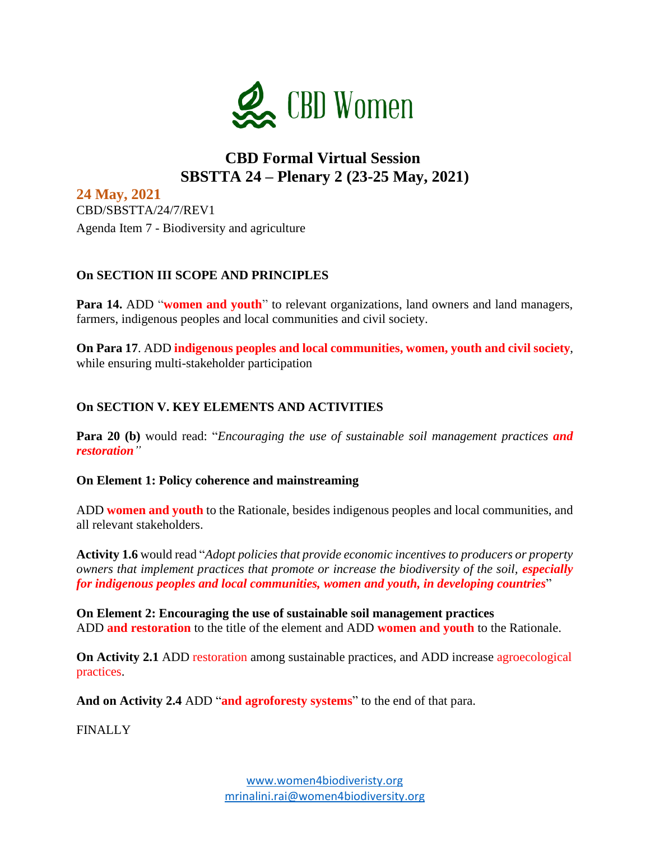

# **CBD Formal Virtual Session SBSTTA 24 – Plenary 2 (23-25 May, 2021)**

**24 May, 2021**  CBD/SBSTTA/24/7/REV1 Agenda Item 7 - Biodiversity and agriculture

## **On SECTION III SCOPE AND PRINCIPLES**

Para 14. ADD "women and youth" to relevant organizations, land owners and land managers, farmers, indigenous peoples and local communities and civil society.

**On Para 17**. ADD **indigenous peoples and local communities, women, youth and civil society**, while ensuring multi-stakeholder participation

## **On SECTION V. KEY ELEMENTS AND ACTIVITIES**

**Para 20 (b)** would read: "*Encouraging the use of sustainable soil management practices and restoration"*

### **On Element 1: Policy coherence and mainstreaming**

ADD **women and youth** to the Rationale, besides indigenous peoples and local communities, and all relevant stakeholders.

**Activity 1.6** would read "*Adopt policies that provide economic incentives to producers or property owners that implement practices that promote or increase the biodiversity of the soil, especially for indigenous peoples and local communities, women and youth, in developing countries*"

**On Element 2: Encouraging the use of sustainable soil management practices** ADD **and restoration** to the title of the element and ADD **women and youth** to the Rationale.

**On Activity 2.1** ADD restoration among sustainable practices, and ADD increase agroecological practices.

**And on Activity 2.4** ADD "**and agroforesty systems**" to the end of that para.

**FINALLY**